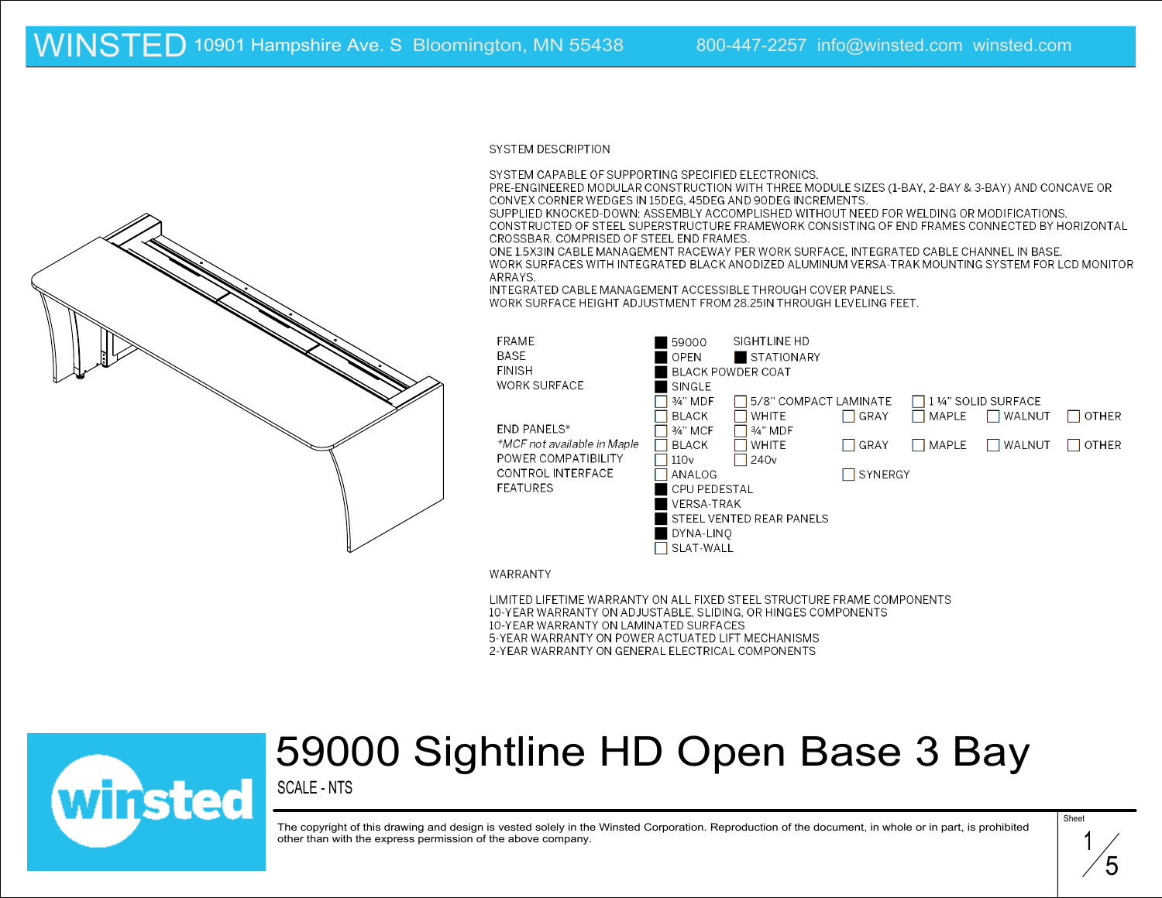#### **SYSTEM DESCRIPTION**

SYSTEM CAPABLE OF SUPPORTING SPECIFIED ELECTRONICS.

PRE-ENGINEERED MODULAR CONSTRUCTION WITH THREE MODULE SIZES (1-BAY, 2-BAY & 3-BAY) AND CONCAVE OR CONVEX CORNER WEDGES IN 15DEG, 45DEG AND 90DEG INCREMENTS.

SUPPLIED KNOCKED-DOWN: ASSEMBLY ACCOMPLISHED WITHOUT NEED FOR WELDING OR MODIFICATIONS. CONSTRUCTED OF STEEL SUPERSTRUCTURE FRAMEWORK CONSISTING OF END FRAMES CONNECTED BY HORIZONTAL CROSSBAR. COMPRISED OF STEEL END FRAMES.

ONE 1.5X3IN CABLE MANAGEMENT RACEWAY PER WORK SURFACE. INTEGRATED CABLE CHANNEL IN BASE. WORK SURFACES WITH INTEGRATED BLACK ANODIZED ALUMINUM VERSA-TRAK MOUNTING SYSTEM FOR LCD MONITOR ARRAYS.

INTEGRATED CABLE MANAGEMENT ACCESSIBLE THROUGH COVER PANELS.

WORK SURFACE HEIGHT ADJUSTMENT FROM 28.25IN THROUGH LEVELING FEET.

| <b>FRAME</b>                | 59000                           | SIGHTLINE HD             |             |                    |        |              |
|-----------------------------|---------------------------------|--------------------------|-------------|--------------------|--------|--------------|
| BASE                        | OPEN                            | <b>STATIONARY</b>        |             |                    |        |              |
| <b>FINISH</b>               |                                 | <b>BLACK POWDER COAT</b> |             |                    |        |              |
| <b>WORK SURFACE</b>         | SINGLE                          |                          |             |                    |        |              |
|                             | 3⁄4" MDF                        | 5/8" COMPACT LAMINATE    |             | 1 ¼" SOLID SURFACE |        |              |
|                             | BLACK                           | <b>WHITE</b>             | GRAY        | MAPLE              | WALNUT | <b>OTHER</b> |
| END PANELS*                 | 3⁄4" MCF                        | 3⁄4" MDF                 |             |                    |        |              |
| *MCF not available in Maple | <b>BLACK</b>                    | <b>WHITE</b>             | $\Box$ GRAY | MAPLE              | WALNUT | <b>OTHER</b> |
| POWER COMPATIBILITY         | 110 <sub>v</sub>                | $\sqrt{240}$             |             |                    |        |              |
| CONTROL INTERFACE           | ANALOG                          |                          | SYNERGY     |                    |        |              |
| <b>FEATURES</b>             | <b>CPU PEDESTAL</b>             |                          |             |                    |        |              |
|                             | VERSA-TRAK                      |                          |             |                    |        |              |
|                             | <b>STEEL VENTED REAR PANELS</b> |                          |             |                    |        |              |
|                             | DYNA-LINO                       |                          |             |                    |        |              |
|                             | SLAT-WALL                       |                          |             |                    |        |              |

WARRANTY

LIMITED LIFETIME WARRANTY ON ALL FIXED STEEL STRUCTURE FRAME COMPONENTS 10-YEAR WARRANTY ON ADJUSTABLE, SLIDING, OR HINGES COMPONENTS 10-YEAR WARRANTY ON LAMINATED SURFACES 5-YEAR WARRANTY ON POWER ACTUATED LIFT MECHANISMS 2-YEAR WARRANTY ON GENERAL ELECTRICAL COMPONENTS



### 59000 Sightline HD Open Base 3 Bay

SCALE - NTS

The copyright of this drawing and design is vested solely in the Winsted Corporation. Reproduction of the document, in whole or in part, is prohibited other than with the express permission of the above company.

1 5

Sheet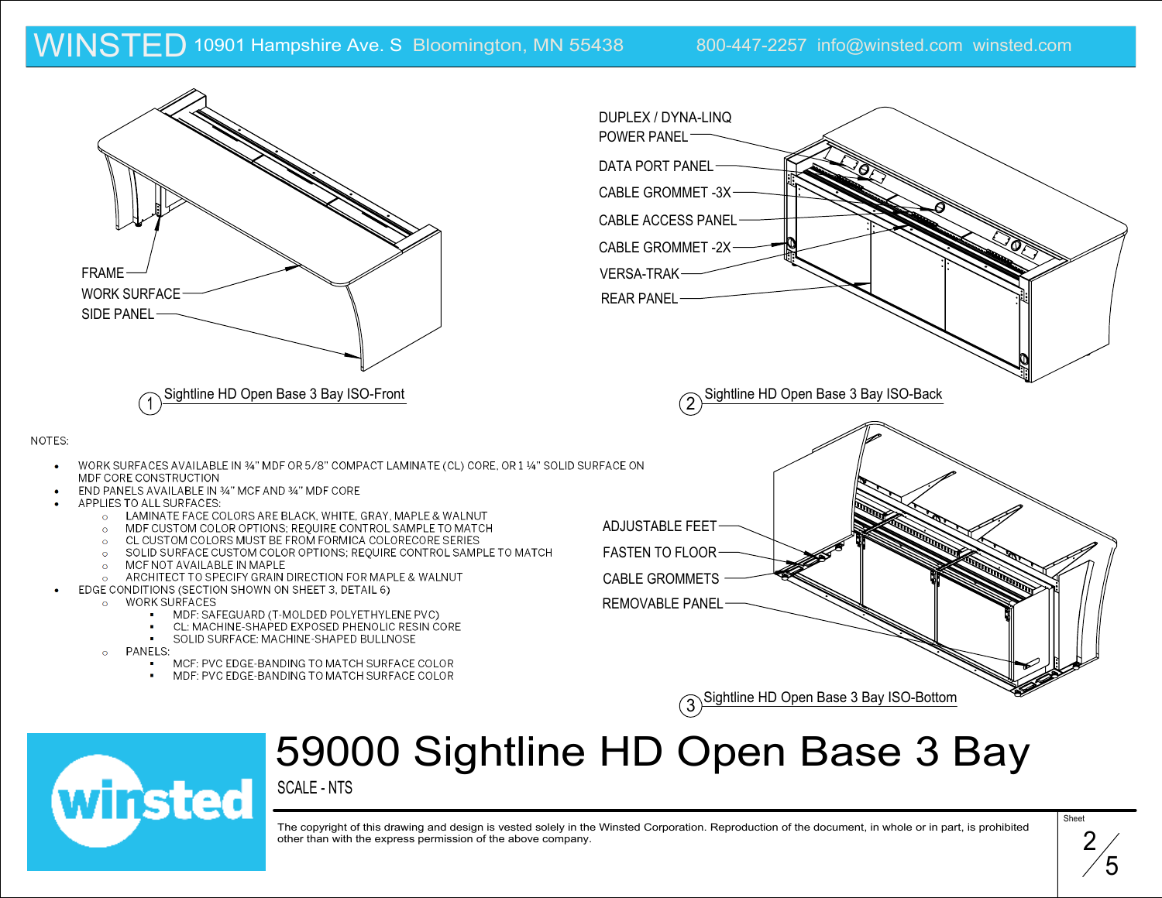

# 59000 Sightline HD Open Base 3 Bay

SCALE - NTS



**Sheet** 2 5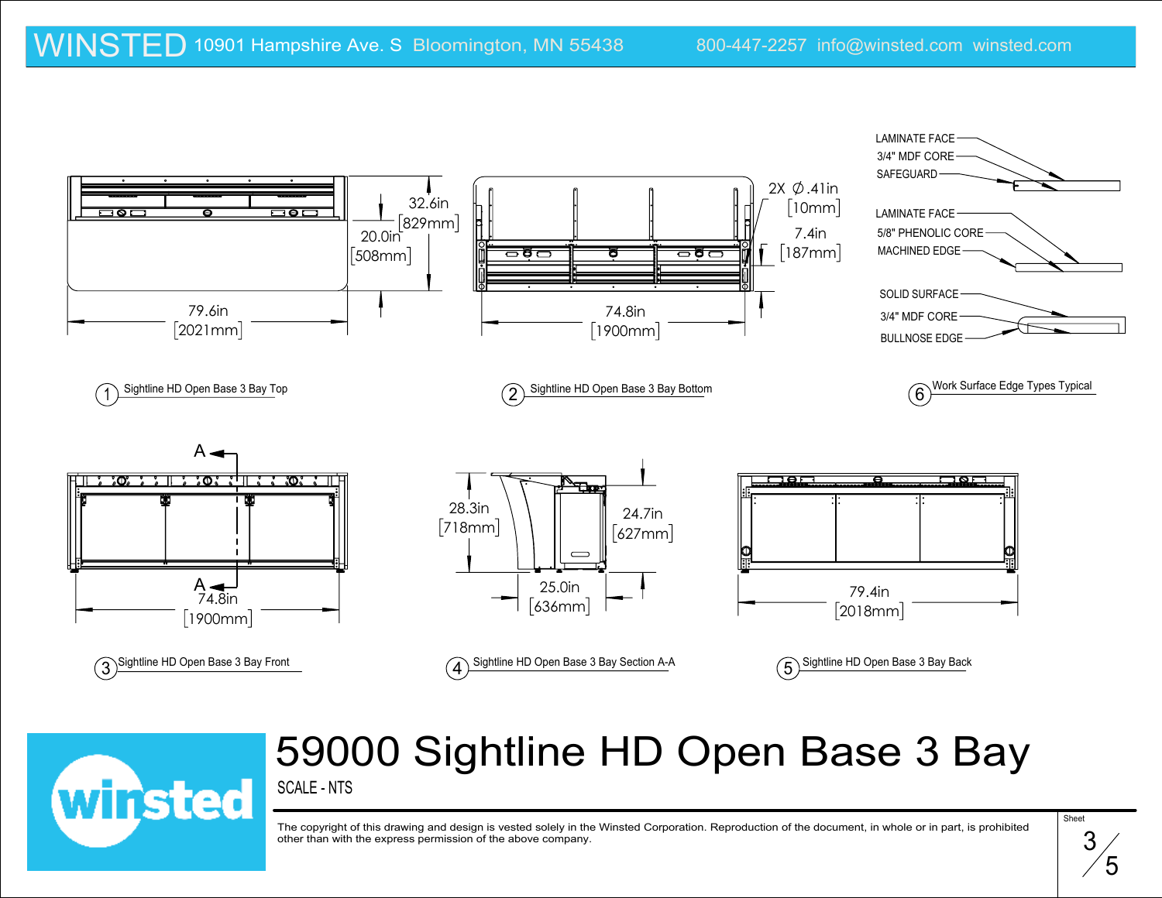

### SCALE - NTS 59000 Sightline HD Open Base 3 Bay



$$
\overline{\mathbf{3/5}}
$$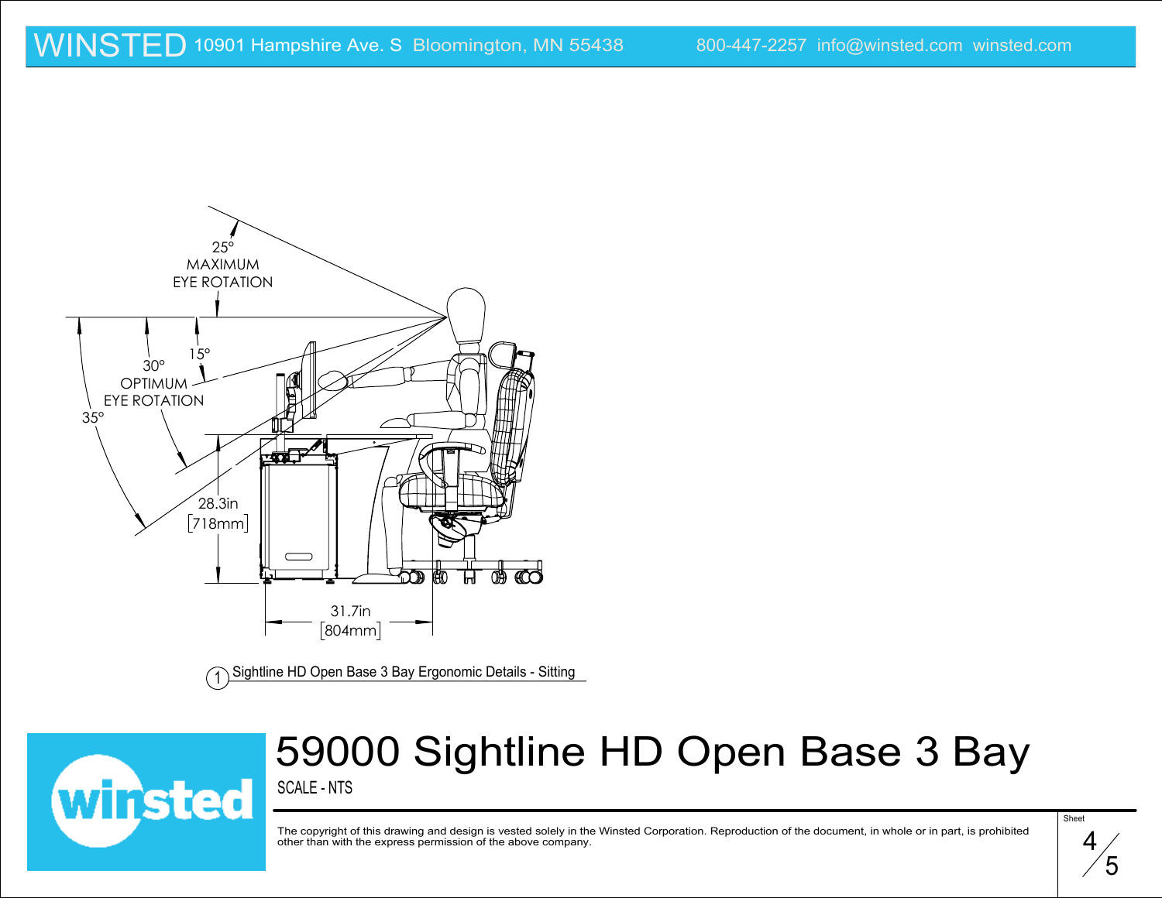

Sightline HD Open Base 3 Bay Ergonomic Details - Sitting <sup>1</sup>



## 59000 Sightline HD Open Base 3 Bay

SCALE - NTS

**Sheet** 4 5